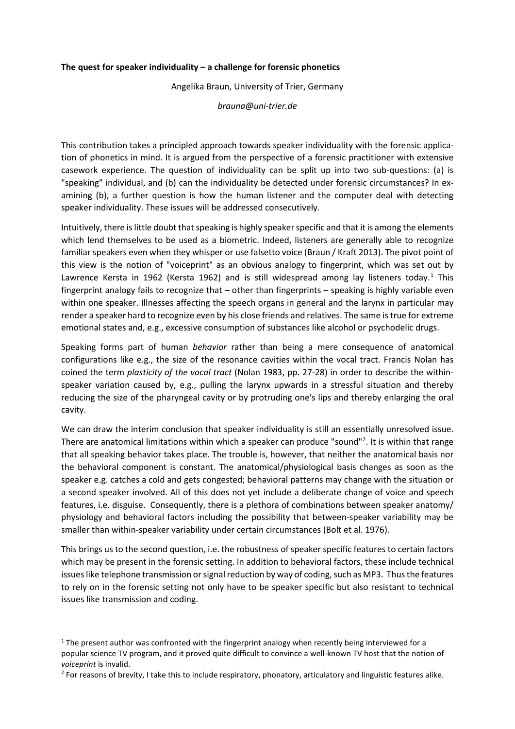## **The quest for speaker individuality – a challenge for forensic phonetics**

Angelika Braun, University of Trier, Germany

*brauna@uni-trier.de*

This contribution takes a principled approach towards speaker individuality with the forensic application of phonetics in mind. It is argued from the perspective of a forensic practitioner with extensive casework experience. The question of individuality can be split up into two sub-questions: (a) is "speaking" individual, and (b) can the individuality be detected under forensic circumstances? In examining (b), a further question is how the human listener and the computer deal with detecting speaker individuality. These issues will be addressed consecutively.

Intuitively, there is little doubt that speaking is highly speaker specific and that it is among the elements which lend themselves to be used as a biometric. Indeed, listeners are generally able to recognize familiar speakers even when they whisper or use falsetto voice (Braun / Kraft 2013). The pivot point of this view is the notion of "voiceprint" as an obvious analogy to fingerprint, which was set out by Lawrence Kersta in [1](#page-0-0)962 (Kersta 1962) and is still widespread among lay listeners today.<sup>1</sup> This fingerprint analogy fails to recognize that – other than fingerprints – speaking is highly variable even within one speaker. Illnesses affecting the speech organs in general and the larynx in particular may render a speaker hard to recognize even by his close friends and relatives. The same is true for extreme emotional states and, e.g., excessive consumption of substances like alcohol or psychodelic drugs.

Speaking forms part of human *behavior* rather than being a mere consequence of anatomical configurations like e.g., the size of the resonance cavities within the vocal tract. Francis Nolan has coined the term *plasticity of the vocal tract* (Nolan 1983, pp. 27-28) in order to describe the withinspeaker variation caused by, e.g., pulling the larynx upwards in a stressful situation and thereby reducing the size of the pharyngeal cavity or by protruding one's lips and thereby enlarging the oral cavity.

We can draw the interim conclusion that speaker individuality is still an essentially unresolved issue. There are anatomical limitations within which a speaker can produce "sound"<sup>[2](#page-0-1)</sup>. It is within that range that all speaking behavior takes place. The trouble is, however, that neither the anatomical basis nor the behavioral component is constant. The anatomical/physiological basis changes as soon as the speaker e.g. catches a cold and gets congested; behavioral patterns may change with the situation or a second speaker involved. All of this does not yet include a deliberate change of voice and speech features, i.e. disguise. Consequently, there is a plethora of combinations between speaker anatomy/ physiology and behavioral factors including the possibility that between-speaker variability may be smaller than within-speaker variability under certain circumstances (Bolt et al. 1976).

This brings us to the second question, i.e. the robustness of speaker specific features to certain factors which may be present in the forensic setting. In addition to behavioral factors, these include technical issues like telephone transmission or signal reduction by way of coding, such as MP3. Thus the features to rely on in the forensic setting not only have to be speaker specific but also resistant to technical issues like transmission and coding.

<span id="page-0-0"></span><sup>&</sup>lt;sup>1</sup> The present author was confronted with the fingerprint analogy when recently being interviewed for a popular science TV program, and it proved quite difficult to convince a well-known TV host that the notion of

<span id="page-0-1"></span>*voiceprint* is invalid.<br><sup>2</sup> For reasons of brevity, I take this to include respiratory, phonatory, articulatory and linguistic features alike.